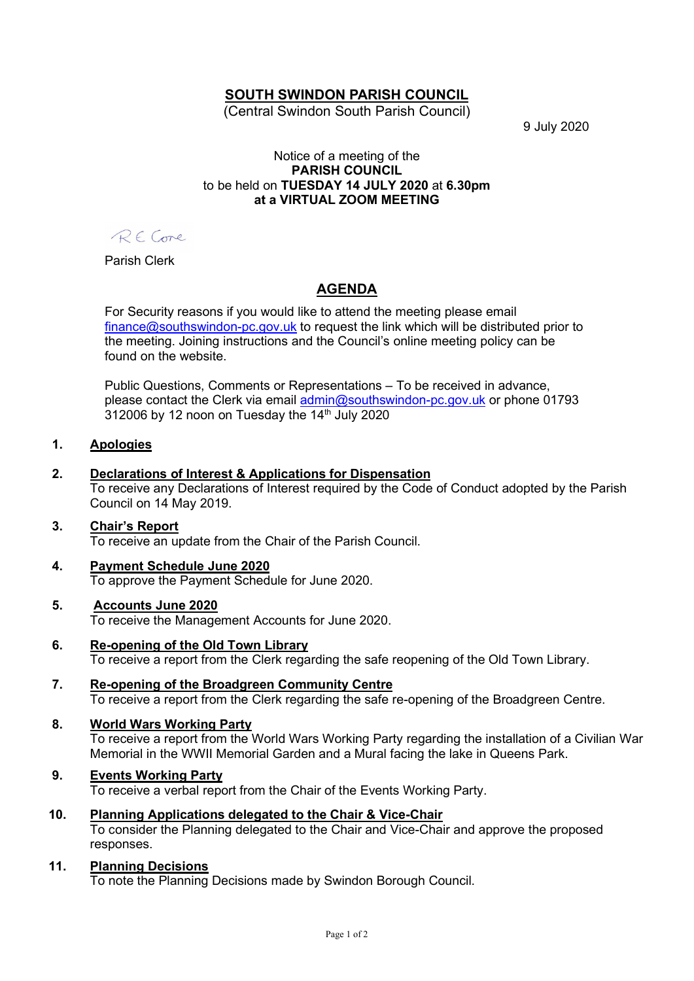# SOUTH SWINDON PARISH COUNCIL

(Central Swindon South Parish Council)

9 July 2020

#### Notice of a meeting of the PARISH COUNCIL to be held on TUESDAY 14 JULY 2020 at 6.30pm at a VIRTUAL ZOOM MEETING

RECome

Parish Clerk

# AGENDA

For Security reasons if you would like to attend the meeting please email finance@southswindon-pc.gov.uk to request the link which will be distributed prior to the meeting. Joining instructions and the Council's online meeting policy can be found on the website.

Public Questions, Comments or Representations – To be received in advance, please contact the Clerk via email admin@southswindon-pc.gov.uk or phone 01793  $312006$  by 12 noon on Tuesday the  $14<sup>th</sup>$  July 2020

## 1. Apologies

## 2. Declarations of Interest & Applications for Dispensation

To receive any Declarations of Interest required by the Code of Conduct adopted by the Parish Council on 14 May 2019.

## 3. Chair's Report

To receive an update from the Chair of the Parish Council.

#### 4. Payment Schedule June 2020 To approve the Payment Schedule for June 2020.

## 5. Accounts June 2020

To receive the Management Accounts for June 2020.

- 6. Re-opening of the Old Town Library To receive a report from the Clerk regarding the safe reopening of the Old Town Library.
- 7. Re-opening of the Broadgreen Community Centre To receive a report from the Clerk regarding the safe re-opening of the Broadgreen Centre.

## 8. World Wars Working Party

To receive a report from the World Wars Working Party regarding the installation of a Civilian War Memorial in the WWII Memorial Garden and a Mural facing the lake in Queens Park.

## 9. Events Working Party

To receive a verbal report from the Chair of the Events Working Party.

## 10. Planning Applications delegated to the Chair & Vice-Chair

To consider the Planning delegated to the Chair and Vice-Chair and approve the proposed responses.

## 11. Planning Decisions

To note the Planning Decisions made by Swindon Borough Council.